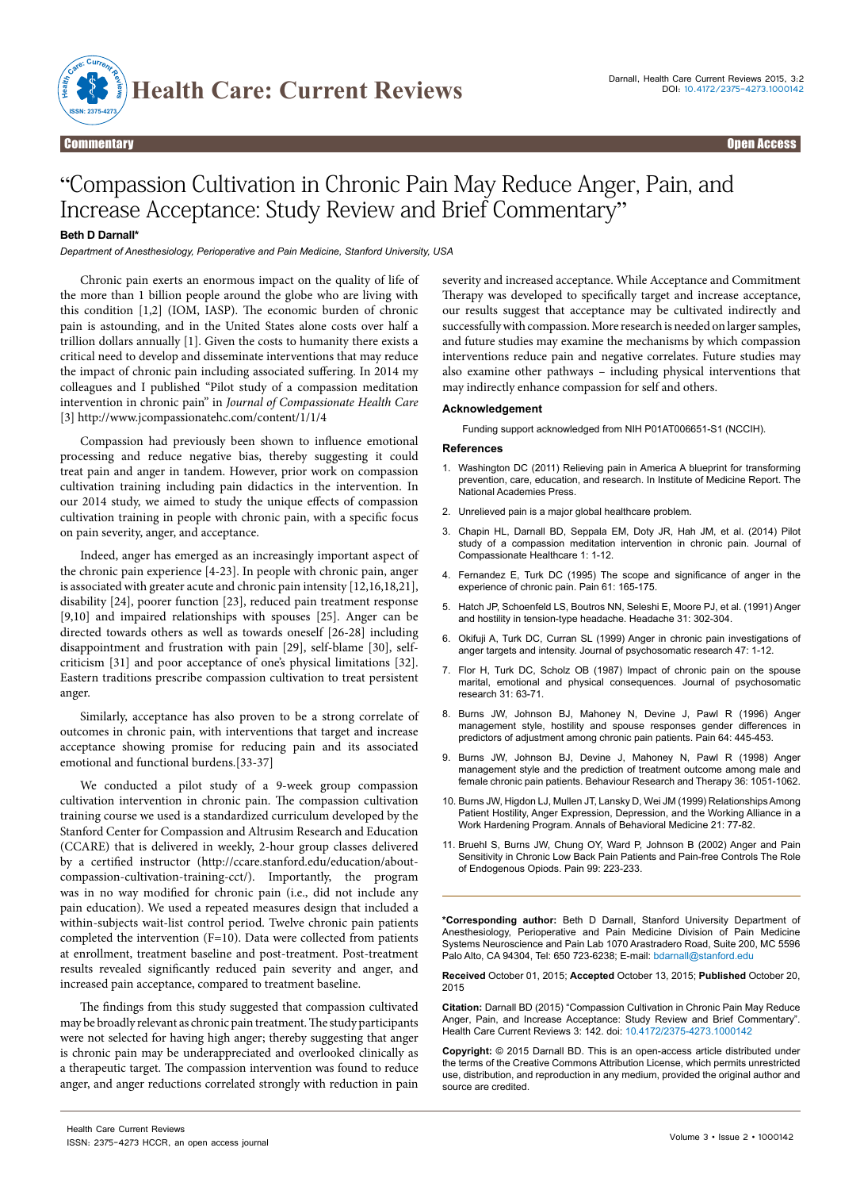

# Commentary Open Access

# "Compassion Cultivation in Chronic Pain May Reduce Anger, Pain, and Increase Acceptance: Study Review and Brief Commentary"

## **Beth D Darnall\***

*Department of Anesthesiology, Perioperative and Pain Medicine, Stanford University, USA* 

Chronic pain exerts an enormous impact on the quality of life of the more than 1 billion people around the globe who are living with this condition [1,2] (IOM, IASP). The economic burden of chronic pain is astounding, and in the United States alone costs over half a trillion dollars annually [1]. Given the costs to humanity there exists a critical need to develop and disseminate interventions that may reduce the impact of chronic pain including associated suffering. In 2014 my colleagues and I published "Pilot study of a compassion meditation intervention in chronic pain" in *Journal of Compassionate Health Care* [3] <http://www.jcompassionatehc.com/content/1/1/4>

Compassion had previously been shown to influence emotional processing and reduce negative bias, thereby suggesting it could treat pain and anger in tandem. However, prior work on compassion cultivation training including pain didactics in the intervention. In our 2014 study, we aimed to study the unique effects of compassion cultivation training in people with chronic pain, with a specific focus on pain severity, anger, and acceptance.

Indeed, anger has emerged as an increasingly important aspect of the chronic pain experience [4-23]. In people with chronic pain, anger is associated with greater acute and chronic pain intensity [12,16,18,21], disability [24], poorer function [23], reduced pain treatment response [9,10] and impaired relationships with spouses [25]. Anger can be directed towards others as well as towards oneself [26-28] including disappointment and frustration with pain [29], self-blame [30], selfcriticism [31] and poor acceptance of one's physical limitations [32]. Eastern traditions prescribe compassion cultivation to treat persistent anger.

Similarly, acceptance has also proven to be a strong correlate of outcomes in chronic pain, with interventions that target and increase acceptance showing promise for reducing pain and its associated emotional and functional burdens.[33-37]

We conducted a pilot study of a 9-week group compassion cultivation intervention in chronic pain. The compassion cultivation training course we used is a standardized curriculum developed by the Stanford Center for Compassion and Altrusim Research and Education (CCARE) that is delivered in weekly, 2-hour group classes delivered by a certified instructor (http://ccare.stanford.edu/education/aboutcompassion-cultivation-training-cct/). Importantly, the program was in no way modified for chronic pain (i.e., did not include any pain education). We used a repeated measures design that included a within-subjects wait-list control period. Twelve chronic pain patients completed the intervention (F=10). Data were collected from patients at enrollment, treatment baseline and post-treatment. Post-treatment results revealed significantly reduced pain severity and anger, and increased pain acceptance, compared to treatment baseline.

The findings from this study suggested that compassion cultivated may be broadly relevant as chronic pain treatment. The study participants were not selected for having high anger; thereby suggesting that anger is chronic pain may be underappreciated and overlooked clinically as a therapeutic target. The compassion intervention was found to reduce anger, and anger reductions correlated strongly with reduction in pain

severity and increased acceptance. While Acceptance and Commitment Therapy was developed to specifically target and increase acceptance, our results suggest that acceptance may be cultivated indirectly and successfully with compassion. More research is needed on larger samples, and future studies may examine the mechanisms by which compassion interventions reduce pain and negative correlates. Future studies may also examine other pathways – including physical interventions that may indirectly enhance compassion for self and others.

### **Acknowledgement**

Funding support acknowledged from NIH P01AT006651-S1 (NCCIH).

#### **References**

- 1. [Washington DC \(2011\) Relieving pain in America A blueprint for transforming](http://www.ncbi.nlm.nih.gov/pubmed/22553896) [prevention, care, education, and research. In Institute of Medicine Report. The](http://www.ncbi.nlm.nih.gov/pubmed/22553896)  [National Academies Press.](http://www.ncbi.nlm.nih.gov/pubmed/22553896)
- 2. [Unrelieved pain is a major global healthcare problem.](http://www.efic.org/userfiles/Pain Global Healthcare Problem.pdf)
- 3. [Chapin HL, Darnall BD, Seppala EM, Doty JR, Hah JM, et al. \(2014\) Pilot](http://jcompassionatehc.biomedcentral.com/articles/10.1186/s40639-014-0004-x) [study of a compassion meditation intervention in chronic pain. Journal of](http://jcompassionatehc.biomedcentral.com/articles/10.1186/s40639-014-0004-x) [Compassionate Healthcare 1: 1-12.](http://jcompassionatehc.biomedcentral.com/articles/10.1186/s40639-014-0004-x)
- 4. [Fernandez E, Turk DC \(1995\) The scope and significance of anger in the](http://www.ncbi.nlm.nih.gov/pubmed/7659426)  [experience of chronic pain. Pain 61: 165-175.](http://www.ncbi.nlm.nih.gov/pubmed/7659426)
- Hatch JP, Schoenfeld LS, Boutros NN, Seleshi E, Moore PJ, et al. (1991) Anger [and hostility in tension-type headache. Headache 31: 302-304.](http://www.ncbi.nlm.nih.gov/pubmed/1860788)
- 6. [Okifuji A, Turk DC, Curran SL \(1999\) Anger in chronic pain investigations of](http://www.ncbi.nlm.nih.gov/pubmed/10511417) [anger targets and intensity. Journal of psychosomatic research 47: 1-12.](http://www.ncbi.nlm.nih.gov/pubmed/10511417)
- 7. [Flor H, Turk DC, Scholz OB \(1987\) Impact of chronic pain on the spouse](http://www.ncbi.nlm.nih.gov/pubmed/3820147) [marital, emotional and physical consequences. Journal of psychosomatic](http://www.ncbi.nlm.nih.gov/pubmed/3820147) [research 31: 63-71.](http://www.ncbi.nlm.nih.gov/pubmed/3820147)
- 8. [Burns JW, Johnson BJ, Mahoney N, Devine J, Pawl R \(1996\) Anger](http://www.ncbi.nlm.nih.gov/pubmed/8783308) [management style, hostility and spouse responses gender differences in](http://www.ncbi.nlm.nih.gov/pubmed/8783308) [predictors of adjustment among chronic pain patients. Pain 64: 445-453.](http://www.ncbi.nlm.nih.gov/pubmed/8783308)
- 9. [Burns JW, Johnson BJ, Devine J, Mahoney N, Pawl R \(1998\) Anger](http://www.sciencedirect.com/science/article/pii/S0005796798000801) [management style and the prediction of treatment outcome among male and](http://www.sciencedirect.com/science/article/pii/S0005796798000801) [female chronic pain patients. Behaviour Research and Therapy 36: 1051-1062.](http://www.sciencedirect.com/science/article/pii/S0005796798000801)
- 10. [Burns JW, Higdon LJ, Mullen JT, Lansky D, Wei JM \(1999\) Relationships Among](http://www.ncbi.nlm.nih.gov/pubmed/18425658)  [Patient Hostility, Anger Expression, Depression, and the Working Alliance in a](http://www.ncbi.nlm.nih.gov/pubmed/18425658) [Work Hardening Program. Annals of Behavioral Medicine 21: 77-82.](http://www.ncbi.nlm.nih.gov/pubmed/18425658)
- 11. [Bruehl S, Burns JW, Chung OY, Ward P, Johnson B \(2002\) Anger and Pain](http://www.sciencedirect.com/science/article/pii/S0304395902001045) [Sensitivity in Chronic Low Back Pain Patients and Pain-free Controls The Role](http://www.sciencedirect.com/science/article/pii/S0304395902001045)  [of Endogenous Opiods. Pain 99: 223-233.](http://www.sciencedirect.com/science/article/pii/S0304395902001045)

**\*Corresponding author:** Beth D Darnall, Stanford University Department of Anesthesiology, Perioperative and Pain Medicine Division of Pain Medicine Systems Neuroscience and Pain Lab 1070 Arastradero Road, Suite 200, MC 5596 Palo Alto, CA 94304, Tel: 650 723-6238; E-mail: bdarnall@stanford.edu

**Received** October 01, 2015; **Accepted** October 13, 2015; **Published** October 20, 2015

**Citation:** Darnall BD (2015) "Compassion Cultivation in Chronic Pain May Reduce Anger, Pain, and Increase Acceptance: Study Review and Brief Commentary". Health Care Current Reviews 3: 142. doi: 10.4172/2375-4273.1000142

**Copyright:** © 2015 Darnall BD. This is an open-access article distributed under the terms of the Creative Commons Attribution License, which permits unrestricted use, distribution, and reproduction in any medium, provided the original author and source are credited.